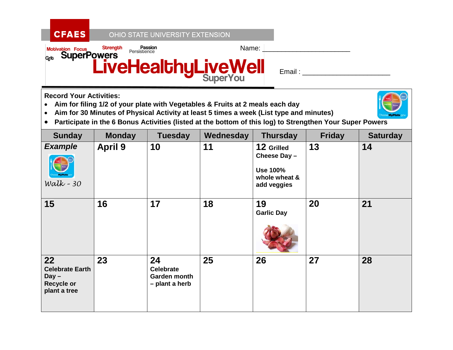## OHIO STATE UNIVERSITY EXTENSION



**Record Your Activities:**

**CFAES** 

- **Aim for filing 1/2 of your plate with Vegetables & Fruits at 2 meals each day**
- **Aim for 30 Minutes of Physical Activity at least 5 times a week (List type and minutes)**



• **Participate in the 6 Bonus Activities (listed at the bottom of this log) to Strengthen Your Super Powers**

| <b>Sunday</b>                                                                | <b>Monday</b>  | <b>Tuesday</b>                                           | Wednesday | <b>Thursday</b>                                                               | <b>Friday</b> | <b>Saturday</b> |
|------------------------------------------------------------------------------|----------------|----------------------------------------------------------|-----------|-------------------------------------------------------------------------------|---------------|-----------------|
| <b>Example</b><br>Walk - $30$                                                | <b>April 9</b> | 10                                                       | 11        | 12 Grilled<br>Cheese Day -<br><b>Use 100%</b><br>whole wheat &<br>add veggies | 13            | 14              |
| 15                                                                           | 16             | 17                                                       | 18        | 19<br><b>Garlic Day</b>                                                       | 20            | 21              |
| 22<br><b>Celebrate Earth</b><br>$Day -$<br><b>Recycle or</b><br>plant a tree | 23             | 24<br><b>Celebrate</b><br>Garden month<br>- plant a herb | 25        | 26                                                                            | 27            | 28              |